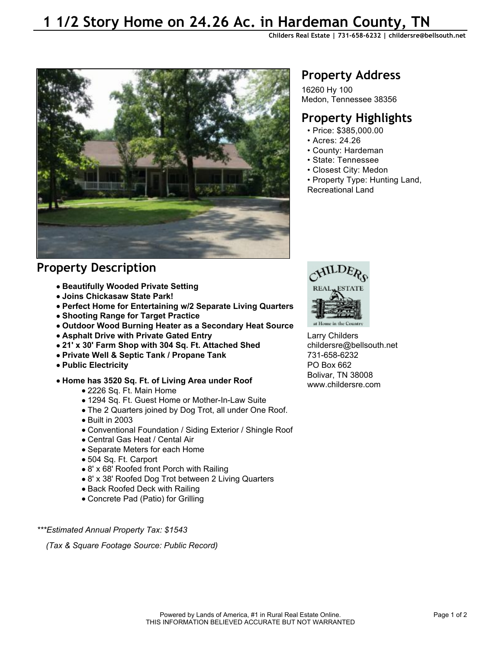# **1 1/2 Story Home on 24.26 Ac. in Hardeman County, TN**

**Childers Real Estate | 731-658-6232 | childersre@bellsouth.net** 



### **Property Description**

- **Beautifully Wooded Private Setting**
- **Joins Chickasaw State Park!**
- **Perfect Home for Entertaining w/2 Separate Living Quarters**
- **Shooting Range for Target Practice**
- **Outdoor Wood Burning Heater as a Secondary Heat Source**
- **Asphalt Drive with Private Gated Entry**
- **21' x 30' Farm Shop with 304 Sq. Ft. Attached Shed**
- **Private Well & Septic Tank / Propane Tank**
- **Public Electricity**
- **Home has 3520 Sq. Ft. of Living Area under Roof**
	- 2226 Sq. Ft. Main Home
	- 1294 Sq. Ft. Guest Home or Mother-In-Law Suite
	- The 2 Quarters joined by Dog Trot, all under One Roof.
	- Built in 2003
	- Conventional Foundation / Siding Exterior / Shingle Roof
	- Central Gas Heat / Cental Air
	- Separate Meters for each Home
	- 504 Sq. Ft. Carport
	- 8' x 68' Roofed front Porch with Railing
	- 8' x 38' Roofed Dog Trot between 2 Living Quarters
	- Back Roofed Deck with Railing
	- Concrete Pad (Patio) for Grilling

*\*\*\*Estimated Annual Property Tax: \$1543*

 *(Tax & Square Footage Source: Public Record)*

## **Property Address**

16260 Hy 100 Medon, Tennessee 38356

### **Property Highlights**

- Price: \$385,000.00
- Acres: 24.26
- County: Hardeman
- State: Tennessee
- Closest City: Medon
- Property Type: Hunting Land, Recreational Land



Larry Childers childersre@bellsouth.net 731-658-6232 PO Box 662 Bolivar, TN 38008 www.childersre.com